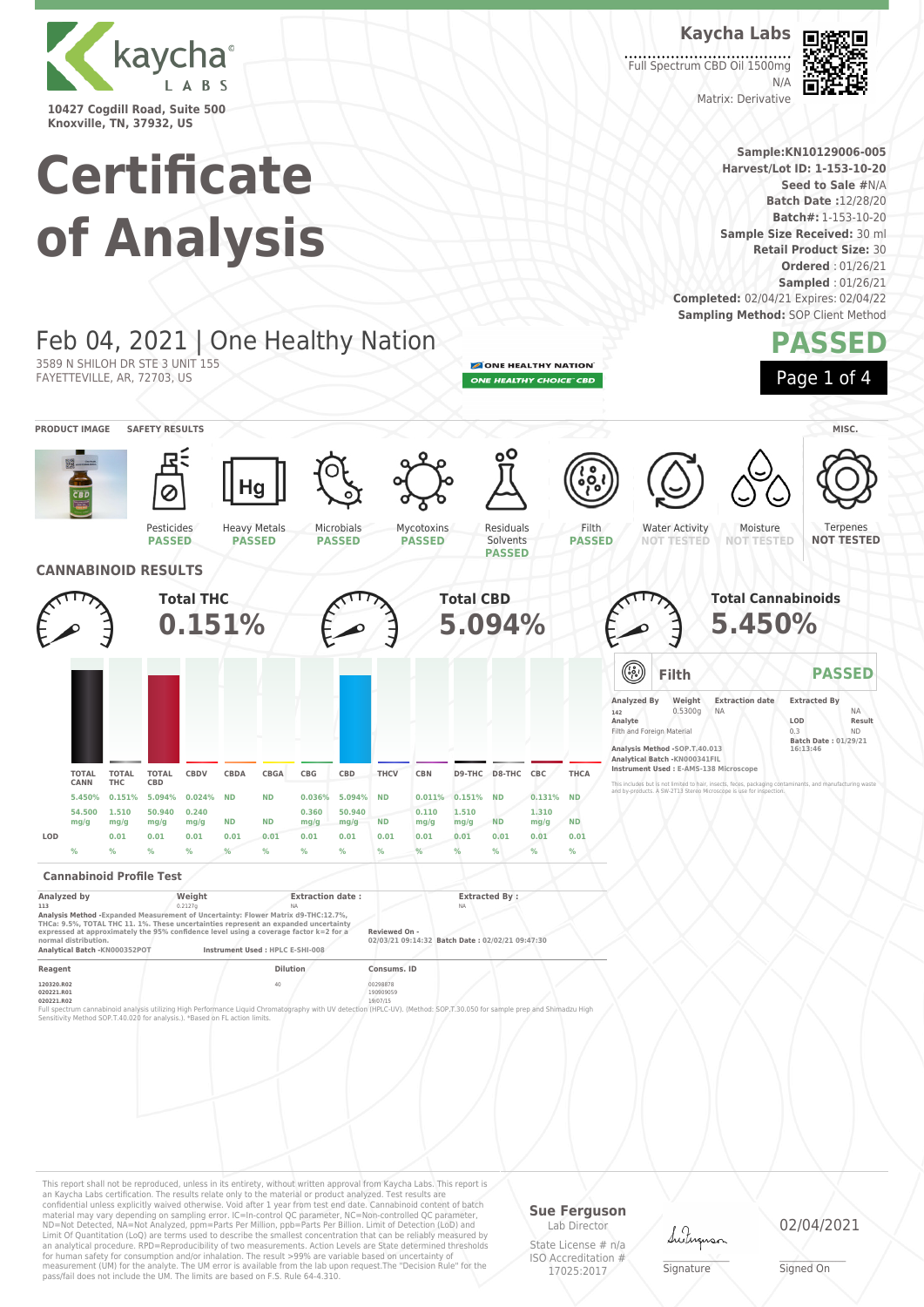

**Knoxville, TN, 37932, US**

3589 N SHILOH DR STE 3 UNIT 155 FAYETTEVILLE, AR, 72703, US

# **Certificate of Analysis**

Feb 04, 2021 | One Healthy Nation

**Kaycha Labs** Full Spectrum CBD Oil 1500mg



Matrix: Derivative

 $N/L$ 

**Sample:KN10129006-005 Harvest/Lot ID: 1-153-10-20 Seed to Sale #**N/A **Batch Date :**12/28/20 **Batch#:** 1-153-10-20 **Sample Size Received:** 30 ml **Retail Product Size:** 30 **Ordered** : 01/26/21 **Sampled** : 01/26/21 **Completed:** 02/04/21 Expires: 02/04/22 **Sampling Method: SOP Client Method PASSED**

ONE HEALTHY NATION ONE HEALTHY CHOICE" CBD



Terpenes **NOT TESTED**

**PRODUCT IMAGE SAFETY RESULTS MISC.** Pesticides **PASSED** Heavy Metals **PASSED** Microbials **PASSED** Mycotoxins **PASSED** Residuals Solvents **PASSED** Filth **PASSED** Water Activity **NOT TESTED** Moisture **NOT TESTED CANNABINOID RESULTS Total THC 0.151% Total CBD 5.094% Total Cannabinoids 5.450% TOTAL THC TOTAL CBD CBDV CBDA CBGA CBG CBD THCV CBN D9-THC D8-THC CBC THCA 5.450% 0.151% 5.094% 0.024% ND ND 0.036% 5.094% ND 0.011% 0.151% ND 0.131% ND 1.510 mg/g 50.940 mg/g 0.240 mg/g ND ND 0.360 mg/g 50.940 mg/g ND 0.110 mg/g 1.510 mg/g ND 1.310 mg/g ND LOD 0.01 0.01 0.01 0.01 0.01 0.01 0.01 0.01 0.01 0.01 0.01 0.01 0.01 Filth PASSED Analyzed By Weight Extraction date Extracted By 142** 0.5300g NA NA **Analyte LOD Result** Filth and Foreign Material 0.3 ND **Batch Date : 01/29/21 16:13:46 Analysis Method -SOP.T.40.013 Analytical Batch -KN000341FIL Instrument Used : E-AMS-138 Microscope** This includes but is not limited to hair, insects, feces, packaging contaminants, and manufacturing waste and by-products. A SW-2T13 Stereo Microscope is use for inspection.

#### **Cannabinoid Profile Test**

**TOTAL CANN**

**54.500 mg/g**

| Analyzed by                                                                                                                                                                                                                                                                                | Weight              | <b>Extraction date:</b>                                          | <b>Extracted By:</b> |  |
|--------------------------------------------------------------------------------------------------------------------------------------------------------------------------------------------------------------------------------------------------------------------------------------------|---------------------|------------------------------------------------------------------|----------------------|--|
| 113                                                                                                                                                                                                                                                                                        | 0.2127 <sub>0</sub> | NA.                                                              | NA.                  |  |
| Analysis Method - Expanded Measurement of Uncertainty: Flower Matrix d9-THC:12.7%.<br>THCa: 9.5%, TOTAL THC 11, 1%. These uncertainties represent an expanded uncertainty<br>expressed at approximately the 95% confidence level using a coverage factor k=2 for a<br>normal distribution. |                     | Reviewed On -<br>02/03/21 09:14:32 Batch Date: 02/02/21 09:47:30 |                      |  |
| Analytical Batch -KN000352POT                                                                                                                                                                                                                                                              |                     | Instrument Used : HPLC E-SHI-008                                 |                      |  |
| Reagent                                                                                                                                                                                                                                                                                    |                     | <b>Dilution</b>                                                  | Consums, ID          |  |
| <b>120220 PO2</b>                                                                                                                                                                                                                                                                          |                     | AD                                                               | 00209979             |  |

**% % % % % % % % % % % % % %**

**120320.R02** 40 00298878 **020221.R01** 190909059 **020221.R02** 19/07/15

Full spectrum cannabinoid analysis utilizing High Performance Liquid Chromatography with UV detection (HPLC-UV). (Method: SOP,T.30.050 for sample prep and Shimadzu High<br>Sensitivity Method SOP.T-40.020 for analysis.). "Base

This report shall not be reproduced, unless in its entirety, without written approval from Kaycha Labs. This report is an Kaycha Labs certification. The results relate only to the material or product analyzed. Test results are<br>confidential unless explicitly waived otherwise. Void after 1 year from test end date. Cannabinoid content of bat Limit Of Quantitation (LoQ) are terms used to describe the smallest concentration that can be reliably measured by an analytical procedure. RPD=Reproducibility of two measurements. Action Levels are State determined thresholds for human safety for consumption and/or inhalation. The result >99% are variable based on uncertainty of measurement (UM) for the analyte. The UM error is available from the lab upon request.The "Decision Rule" for the pass/fail does not include the UM. The limits are based on F.S. Rule 64-4.310.

#### **Sue Ferguson** Lab Director

State License # n/a ISO Accreditation # 17025:2017

Lutus

\_\_\_\_\_\_\_\_\_\_\_\_\_\_\_\_\_\_\_ Signature

02/04/2021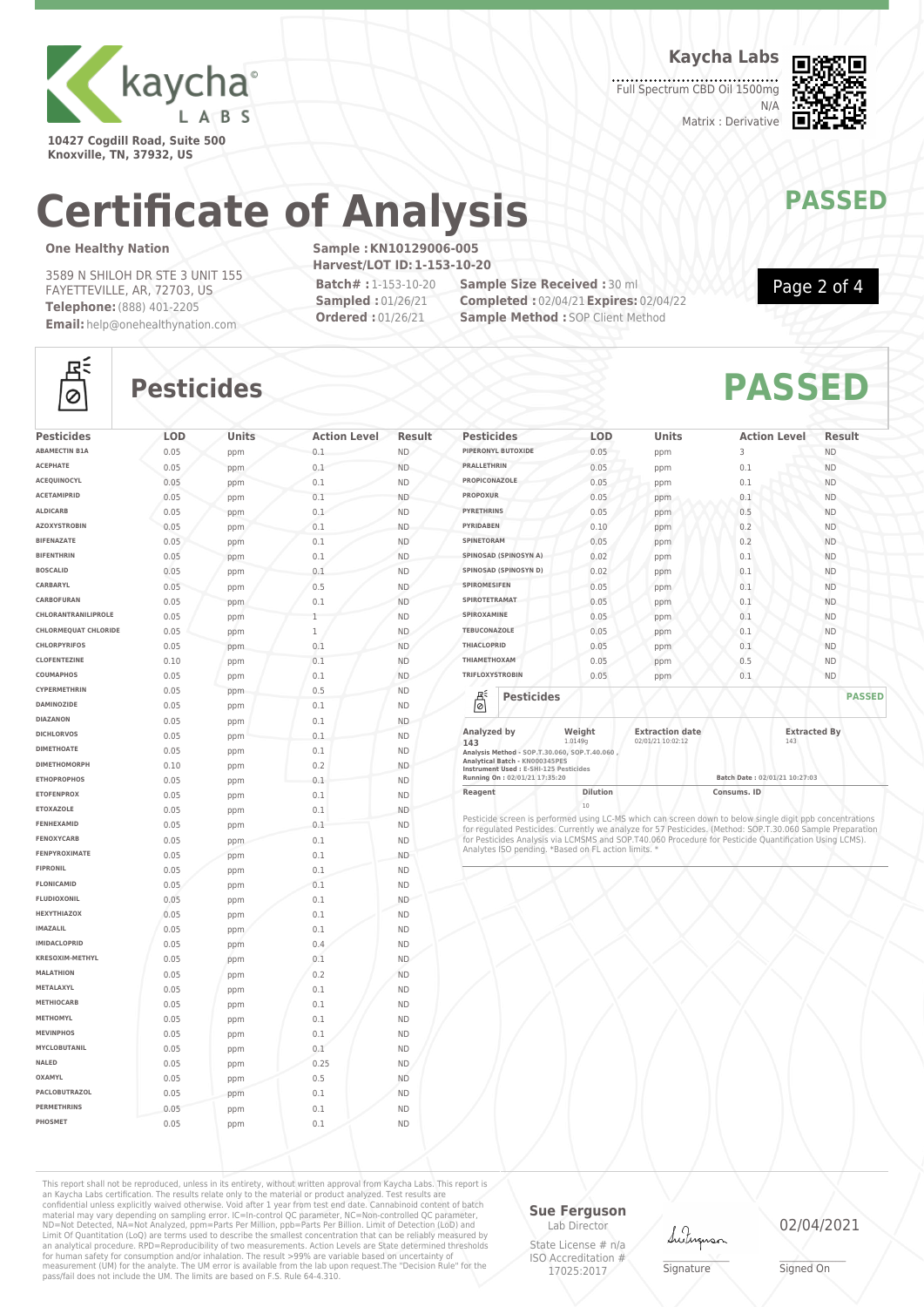

**10427 Cogdill Road, Suite 500 Knoxville, TN, 37932, US**

**Kaycha Labs**

Full Spectrum CBD Oil 1500mg N/A Matrix : Derivative



# **Certificate of Analysis MANAWAPASSED**

### **One Healthy Nation**

3589 N SHILOH DR STE 3 UNIT 155 FAYETTEVILLE, AR, 72703, US **Telephone:**(888) 401-2205 **Email:** help@onehealthynation.com **Sample :KN10129006-005 Harvest/LOT ID:1-153-10-20 Batch# :** 1-153-10-20

**Sampled :** 01/26/21 **Ordered :** 01/26/21

**Sample Size Received :** 30 ml **Completed :** 02/04/21**Expires:** 02/04/22 **Sample Method : SOP Client Method** 



Page 2 of 4

# 조  $\circ$

# **Pesticides PASSED**

| <b>Pesticides</b>           | LOD  | Units | <b>Action Level</b> | <b>Result</b> |
|-----------------------------|------|-------|---------------------|---------------|
| <b>ABAMECTIN B1A</b>        | 0.05 | ppm   | 0.1                 | ND.           |
| <b>ACEPHATE</b>             | 0.05 | ppm   | 0.1                 | <b>ND</b>     |
| <b>ACEOUINOCYL</b>          | 0.05 | ppm   | 0.1                 | <b>ND</b>     |
| <b>ACETAMIPRID</b>          | 0.05 | ppm   | 0.1                 | <b>ND</b>     |
| <b>ALDICARB</b>             | 0.05 | ppm   | 0.1                 | <b>ND</b>     |
| <b>AZOXYSTROBIN</b>         | 0.05 | ppm   | 0.1                 | <b>ND</b>     |
| <b>BIFENAZATE</b>           | 0.05 | ppm   | 0.1                 | <b>ND</b>     |
| <b>BIFENTHRIN</b>           | 0.05 | ppm   | 0.1                 | <b>ND</b>     |
| <b>BOSCALID</b>             | 0.05 | ppm   | 0.1                 | <b>ND</b>     |
| CARBARYL                    | 0.05 | ppm   | 0.5                 | <b>ND</b>     |
| CARBOFURAN                  | 0.05 | ppm   | 0.1                 | <b>ND</b>     |
| CHLORANTRANILIPROLE         | 0.05 | ppm   | 1                   | <b>ND</b>     |
| <b>CHLORMEQUAT CHLORIDE</b> | 0.05 | ppm   | $\mathbf 1$         | <b>ND</b>     |
| CHLORPYRIFOS                | 0.05 | ppm   | 0.1                 | <b>ND</b>     |
| <b>CLOFENTEZINE</b>         | 0.10 | ppm   | 0.1                 | <b>ND</b>     |
| COUMAPHOS                   | 0.05 | ppm   | 0.1                 | <b>ND</b>     |
| CYPERMETHRIN                | 0.05 | ppm   | 0.5                 | <b>ND</b>     |
| <b>DAMINOZIDE</b>           | 0.05 | ppm   | 0.1                 | <b>ND</b>     |
| <b>DIAZANON</b>             | 0.05 | ppm   | 0.1                 | <b>ND</b>     |
| <b>DICHLORVOS</b>           | 0.05 | ppm   | 0.1                 | <b>ND</b>     |
| <b>DIMETHOATE</b>           | 0.05 | ppm   | 0.1                 | <b>ND</b>     |
| <b>DIMETHOMORPH</b>         | 0.10 | ppm   | 0.2                 | <b>ND</b>     |
| <b>ETHOPROPHOS</b>          | 0.05 | ppm   | 0.1                 | <b>ND</b>     |
| <b>ETOFENPROX</b>           | 0.05 | ppm   | 0.1                 | <b>ND</b>     |
| <b>ETOXAZOLE</b>            | 0.05 | ppm   | 0.1                 | <b>ND</b>     |
| FENHEXAMID                  | 0.05 | ppm   | 0.1                 | <b>ND</b>     |
| <b>FENOXYCARB</b>           | 0.05 | ppm   | 0.1                 | <b>ND</b>     |
| FENPYROXIMATE               | 0.05 | ppm   | 0.1                 | <b>ND</b>     |
| <b>FIPRONIL</b>             | 0.05 | ppm   | 0.1                 | <b>ND</b>     |
| FLONICAMID                  | 0.05 | ppm   | 0.1                 | <b>ND</b>     |
| <b>FLUDIOXONIL</b>          | 0.05 | ppm   | 0.1                 | <b>ND</b>     |
| <b>HEXYTHIAZOX</b>          | 0.05 | ppm   | 0.1                 | <b>ND</b>     |
| <b>IMAZALIL</b>             | 0.05 | ppm   | 0.1                 | <b>ND</b>     |
| <b>IMIDACLOPRID</b>         | 0.05 | ppm   | 0.4                 | <b>ND</b>     |
| KRESOXIM-METHYL             | 0.05 | ppm   | 0.1                 | <b>ND</b>     |
| <b>MALATHION</b>            | 0.05 | ppm   | 0.2                 | <b>ND</b>     |
| METALAXYL                   | 0.05 | ppm   | 0.1                 | <b>ND</b>     |
| <b>METHIOCARB</b>           | 0.05 | ppm   | 0.1                 | <b>ND</b>     |
| METHOMYL                    | 0.05 | ppm   | 0.1                 | <b>ND</b>     |
| <b>MEVINPHOS</b>            | 0.05 | ppm   | 0.1                 | <b>ND</b>     |
| <b>MYCLOBUTANIL</b>         | 0.05 | ppm   | 0.1                 | <b>ND</b>     |
| NALED                       | 0.05 | ppm   | 0.25                | <b>ND</b>     |
| <b>OXAMYL</b>               | 0.05 | ppm   | 0.5                 | <b>ND</b>     |
| PACLOBUTRAZOL               | 0.05 | ppm   | 0.1                 | <b>ND</b>     |
| <b>PERMETHRINS</b>          | 0.05 | ppm   | 0.1                 | <b>ND</b>     |
|                             | 0.05 |       |                     |               |

| <b>Pesticides</b>                                                   | <b>LOD</b>        | <b>Units</b>                                | <b>Action Level</b> | Result              |
|---------------------------------------------------------------------|-------------------|---------------------------------------------|---------------------|---------------------|
| PIPERONYL BUTOXIDE                                                  | 0.05              | ppm                                         | 3                   | <b>ND</b>           |
| <b>PRALLETHRIN</b>                                                  | 0.05              | ppm                                         | 0.1                 | <b>ND</b>           |
| PROPICONAZOLE                                                       | 0.05              | ppm                                         | 0.1                 | <b>ND</b>           |
| <b>PROPOXUR</b>                                                     | 0.05              | ppm                                         | 0.1                 | <b>ND</b>           |
| <b>PYRETHRINS</b>                                                   | 0.05              | ppm                                         | 0.5                 | <b>ND</b>           |
| <b>PYRIDABEN</b>                                                    | 0.10              | ppm                                         | 0.2                 | <b>ND</b>           |
| SPINETORAM                                                          | 0.05              | ppm                                         | 0.2                 | <b>ND</b>           |
| SPINOSAD (SPINOSYN A)                                               | 0.02              | ppm                                         | 0.1                 | <b>ND</b>           |
| SPINOSAD (SPINOSYN D)                                               | 0.02              | ppm                                         | 0.1                 | <b>ND</b>           |
| <b>SPIROMESIFEN</b>                                                 | 0.05              | ppm                                         | 0.1                 | <b>ND</b>           |
| SPIROTETRAMAT                                                       | 0.05              | ppm                                         | 0.1                 | <b>ND</b>           |
| SPIROXAMINE                                                         | 0.05              | ppm                                         | 0.1                 | <b>ND</b>           |
| <b>TEBUCONAZOLE</b>                                                 | 0.05              | ppm                                         | 0.1                 | <b>ND</b>           |
| <b>THIACLOPRID</b>                                                  | 0.05              | ppm                                         | 0.1                 | <b>ND</b>           |
| ΤΗΙΑΜΕΤΗΟΧΑΜ                                                        | 0.05              | ppm                                         | 0.5                 | <b>ND</b>           |
| <b>TRIFLOXYSTROBIN</b>                                              | 0.05              | ppm                                         | 0.1                 | <b>ND</b>           |
| 뵎<br><b>Pesticides</b>                                              |                   |                                             |                     | <b>PASSED</b>       |
| Analyzed by<br>143<br>Analysis Method - SOP.T.30.060, SOP.T.40.060, | Weight<br>1.0149g | <b>Extraction date</b><br>02/01/21 10:02:12 | 143                 | <b>Extracted By</b> |

**Analytical Batch - KN000345PES Instrument Used : E-SHI-125 Pesticides**

**Running On : 02/01/21 17:35:20 Batch Date : 02/01/21 10:27:03**

**Reagent Dilution Dilution Consums. ID** 

20<br>Pesticide screen is performed using LC-MS which can screen down to below single digit ppb concentrations<br>for regulated Pesticides. Currently we analyze for 57 Pesticides. (Method: SOP.T.30.060 Sample Preparation<br>for Pes

This report shall not be reproduced, unless in its entirety, without written approval from Kaycha Labs. This report is an Kaycha Labs certification. The results relate only to the material or product analyzed. Test results are<br>confidential unless explicitly waived otherwise. Void after 1 year from test end date. Cannabinoid content of batc

### **Sue Ferguson**

Lab Director State License # n/a ISO Accreditation # 17025:2017

Lutun

\_\_\_\_\_\_\_\_\_\_\_\_\_\_\_\_\_\_\_ Signature

02/04/2021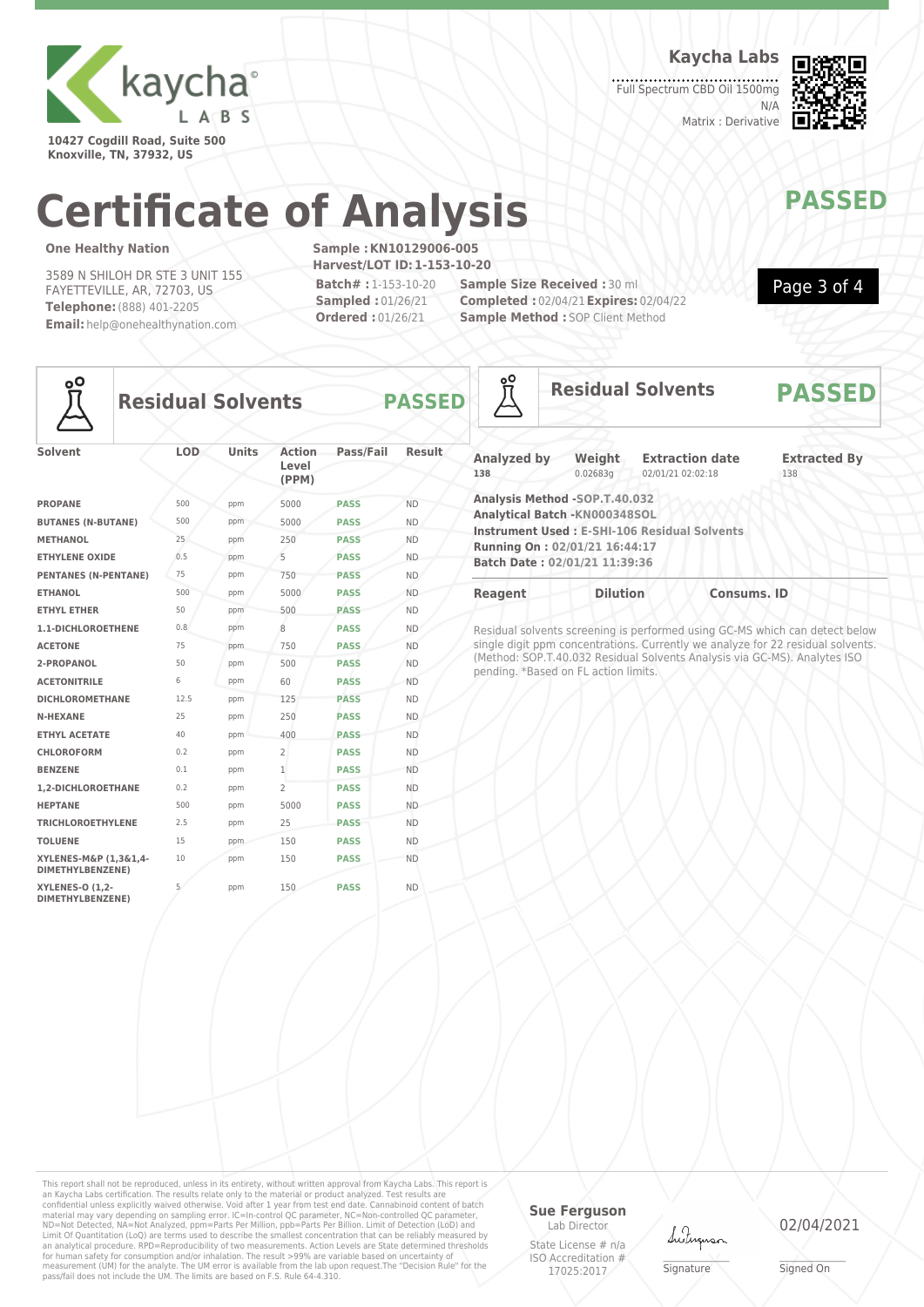

**10427 Cogdill Road, Suite 500 Knoxville, TN, 37932, US**

**Kaycha Labs**

Full Spectrum CBD Oil 1500mg N/A Matrix : Derivative



Page 3 of 4

# **Certificate of Analysis MANAWAPASSED**

### **One Healthy Nation**

3589 N SHILOH DR STE 3 UNIT 155 FAYETTEVILLE, AR, 72703, US **Telephone:**(888) 401-2205 **Email:** help@onehealthynation.com **Sample :KN10129006-005 Harvest/LOT ID:1-153-10-20 Batch# :** 1-153-10-20 **Sampled :** 01/26/21 **Ordered :** 01/26/21

**Sample Size Received :** 30 ml **Completed :** 02/04/21**Expires:** 02/04/22 **Sample Method : SOP Client Method** 



## **Residual Solvents PASSED**

| <b>Solvent</b>                             | <b>LOD</b> | <b>Units</b> | <b>Action</b><br>Level<br>(PPM) | Pass/Fail   | <b>Result</b> |
|--------------------------------------------|------------|--------------|---------------------------------|-------------|---------------|
| <b>PROPANE</b>                             | 500        | ppm          | 5000                            | <b>PASS</b> | <b>ND</b>     |
| <b>BUTANES (N-BUTANE)</b>                  | 500        | ppm          | 5000                            | <b>PASS</b> | <b>ND</b>     |
| <b>METHANOL</b>                            | 25         | ppm          | 250                             | <b>PASS</b> | <b>ND</b>     |
| <b>ETHYLENE OXIDE</b>                      | 0.5        | ppm          | 5                               | <b>PASS</b> | <b>ND</b>     |
| <b>PENTANES (N-PENTANE)</b>                | 75         | ppm          | 750                             | <b>PASS</b> | <b>ND</b>     |
| <b>ETHANOL</b>                             | 500        | ppm          | 5000                            | <b>PASS</b> | <b>ND</b>     |
| <b>ETHYL ETHER</b>                         | 50         | ppm          | 500                             | <b>PASS</b> | <b>ND</b>     |
| 1.1-DICHLOROETHENE                         | 0.8        | ppm          | 8                               | <b>PASS</b> | <b>ND</b>     |
| <b>ACETONE</b>                             | 75         | ppm          | 750                             | <b>PASS</b> | <b>ND</b>     |
| 2-PROPANOL                                 | 50         | ppm          | 500                             | <b>PASS</b> | <b>ND</b>     |
| <b>ACETONITRILE</b>                        | 6          | ppm          | 60                              | <b>PASS</b> | <b>ND</b>     |
| <b>DICHLOROMETHANE</b>                     | 12.5       | ppm          | 125                             | <b>PASS</b> | <b>ND</b>     |
| <b>N-HEXANE</b>                            | 25         | ppm          | 250                             | <b>PASS</b> | <b>ND</b>     |
| <b>ETHYL ACETATE</b>                       | 40         | ppm          | 400                             | <b>PASS</b> | <b>ND</b>     |
| <b>CHLOROFORM</b>                          | 0.2        | ppm          | $\overline{2}$                  | <b>PASS</b> | <b>ND</b>     |
| <b>BENZENE</b>                             | 0.1        | ppm          | $\mathbf{1}$                    | <b>PASS</b> | <b>ND</b>     |
| 1,2-DICHLOROETHANE                         | 0.2        | ppm          | $\overline{2}$                  | <b>PASS</b> | <b>ND</b>     |
| <b>HEPTANE</b>                             | 500        | ppm          | 5000                            | <b>PASS</b> | <b>ND</b>     |
| <b>TRICHLOROETHYLENE</b>                   | 2.5        | ppm          | 25                              | <b>PASS</b> | <b>ND</b>     |
| <b>TOLUENE</b>                             | 15         | ppm          | 150                             | <b>PASS</b> | <b>ND</b>     |
| XYLENES-M&P (1,3&1,4-<br>DIMETHYLBENZENE)  | 10         | ppm          | 150                             | <b>PASS</b> | <b>ND</b>     |
| <b>XYLENES-O (1.2-</b><br>DIMETHYLBENZENE) | 5          | ppm          | 150                             | <b>PASS</b> | <b>ND</b>     |

| <u>၀</u>                  | <b>Residual Solvents</b>                                                                                                          | <b>PASSED</b>                                       |                            |
|---------------------------|-----------------------------------------------------------------------------------------------------------------------------------|-----------------------------------------------------|----------------------------|
| <b>Analyzed by</b><br>138 | Weight<br>0.02683q                                                                                                                | <b>Extraction date</b><br>02/01/21 02:02:18         | <b>Extracted By</b><br>138 |
|                           | Analysis Method -SOP.T.40.032<br>Analytical Batch - KN000348SOL<br>Running On: 02/01/21 16:44:17<br>Batch Date: 02/01/21 11:39:36 | <b>Instrument Used: E-SHI-106 Residual Solvents</b> |                            |
| <b>Reagent</b>            | <b>Dilution</b>                                                                                                                   |                                                     | <b>Consums. ID</b>         |

Residual solvents screening is performed using GC-MS which can detect below single digit ppm concentrations. Currently we analyze for 22 residual solvents. (Method: SOP.T.40.032 Residual Solvents Analysis via GC-MS). Analytes ISO pending. \*Based on FL action limits.

This report shall not be reproduced, unless in its entirety, without written approval from Kaycha Labs. This report is<br>an Kaycha Labs certification. The results relate only to the materal or product analyzed. Test results

### **Sue Ferguson**

Lab Director State License # n/a ISO Accreditation # 17025:2017



\_\_\_\_\_\_\_\_\_\_\_\_\_\_\_\_\_\_\_ Signature

02/04/2021